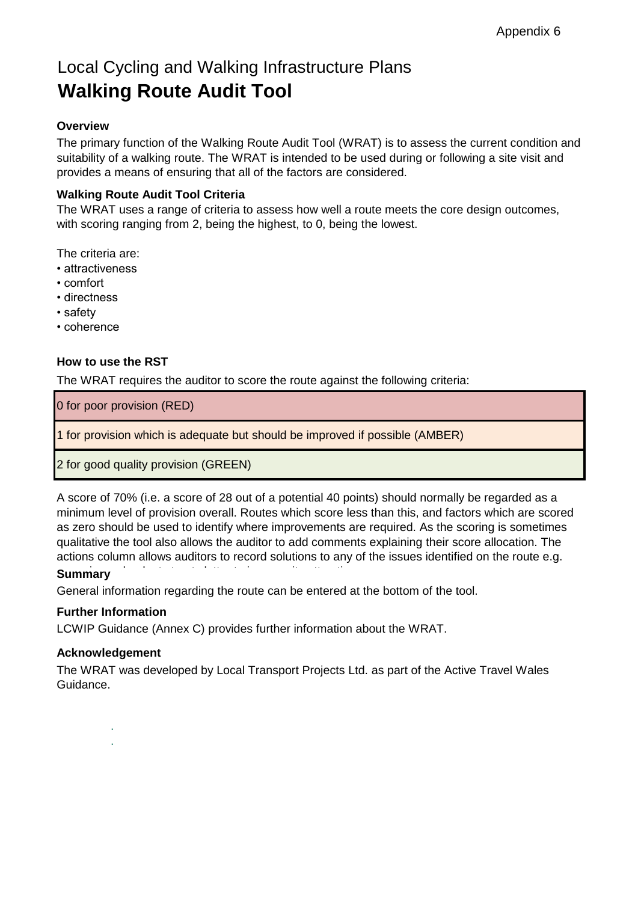# Local Cycling and Walking Infrastructure Plans **Walking Route Audit Tool**

# **Overview**

The primary function of the Walking Route Audit Tool (WRAT) is to assess the current condition and suitability of a walking route. The WRAT is intended to be used during or following a site visit and provides a means of ensuring that all of the factors are considered.

## **Walking Route Audit Tool Criteria**

The WRAT uses a range of criteria to assess how well a route meets the core design outcomes, with scoring ranging from 2, being the highest, to 0, being the lowest.

The criteria are:

- attractiveness
- comfort
- directness
- safety
- coherence

## **How to use the RST**

The WRAT requires the auditor to score the route against the following criteria:

0 for poor provision (RED)

1 for provision which is adequate but should be improved if possible (AMBER)

2 for good quality provision (GREEN)

A score of 70% (i.e. a score of 28 out of a potential 40 points) should normally be regarded as a minimum level of provision overall. Routes which score less than this, and factors which are scored as zero should be used to identify where improvements are required. As the scoring is sometimes qualitative the tool also allows the auditor to add comments explaining their score allocation. The actions column allows auditors to record solutions to any of the issues identified on the route e.g.

# **Summary**

General information regarding the route can be entered at the bottom of the tool.

#### **Further Information**

LCWIP Guidance (Annex C) provides further information about the WRAT.

#### **Acknowledgement**

The WRAT was developed by Local Transport Projects Ltd. as part of the Active Travel Wales Guidance.

· ·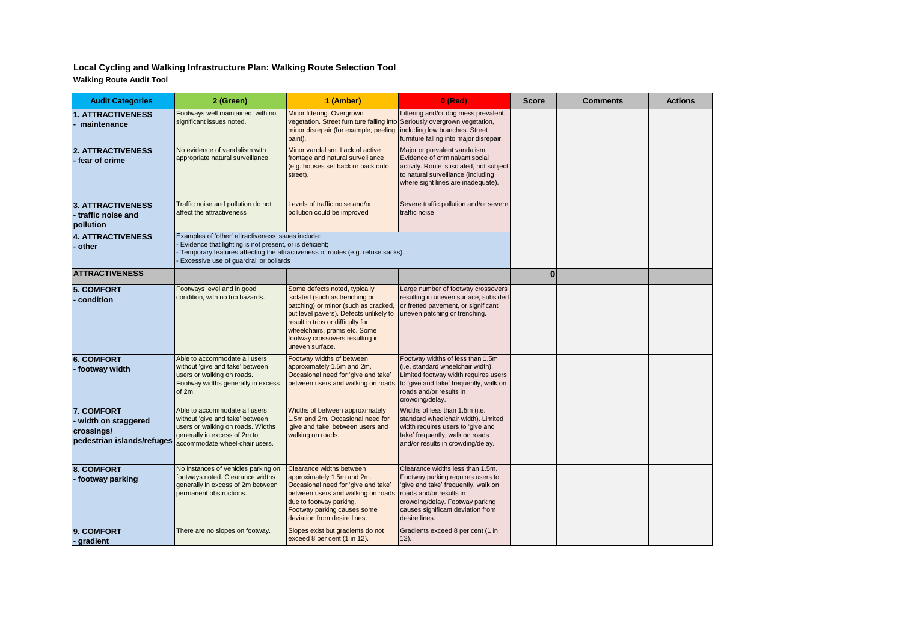#### **Local Cycling and Walking Infrastructure Plan: Walking Route Selection Tool Walking Route Audit Tool**

| <b>Audit Categories</b>                                                      | 2 (Green)                                                                                                                                                                                                                                 | 1 (Amber)                                                                                                                                                                                                                                                                    | $0$ (Red)                                                                                                                                                                                                                        | <b>Score</b> | <b>Comments</b> | <b>Actions</b> |
|------------------------------------------------------------------------------|-------------------------------------------------------------------------------------------------------------------------------------------------------------------------------------------------------------------------------------------|------------------------------------------------------------------------------------------------------------------------------------------------------------------------------------------------------------------------------------------------------------------------------|----------------------------------------------------------------------------------------------------------------------------------------------------------------------------------------------------------------------------------|--------------|-----------------|----------------|
| <b>1. ATTRACTIVENESS</b><br>maintenance                                      | Footways well maintained, with no<br>significant issues noted.                                                                                                                                                                            | Minor littering. Overgrown<br>vegetation. Street furniture falling into Seriously overgrown vegetation,<br>minor disrepair (for example, peeling<br>paint).                                                                                                                  | Littering and/or dog mess prevalent.<br>including low branches. Street<br>furniture falling into major disrepair.                                                                                                                |              |                 |                |
| <b>2. ATTRACTIVENESS</b><br>fear of crime                                    | No evidence of vandalism with<br>appropriate natural surveillance.                                                                                                                                                                        | Minor vandalism. Lack of active<br>frontage and natural surveillance<br>(e.g. houses set back or back onto<br>street).                                                                                                                                                       | Major or prevalent vandalism.<br>Evidence of criminal/antisocial<br>activity. Route is isolated, not subject<br>to natural surveillance (including<br>where sight lines are inadequate).                                         |              |                 |                |
| <b>3. ATTRACTIVENESS</b><br>traffic noise and<br>pollution                   | Traffic noise and pollution do not<br>affect the attractiveness                                                                                                                                                                           | Levels of traffic noise and/or<br>pollution could be improved                                                                                                                                                                                                                | Severe traffic pollution and/or severe<br>traffic noise                                                                                                                                                                          |              |                 |                |
| <b>4. ATTRACTIVENESS</b><br>other                                            | Examples of 'other' attractiveness issues include:<br>Evidence that lighting is not present, or is deficient;<br>Temporary features affecting the attractiveness of routes (e.g. refuse sacks).<br>Excessive use of guardrail or bollards |                                                                                                                                                                                                                                                                              |                                                                                                                                                                                                                                  |              |                 |                |
| <b>ATTRACTIVENESS</b>                                                        |                                                                                                                                                                                                                                           |                                                                                                                                                                                                                                                                              |                                                                                                                                                                                                                                  | $\bf{0}$     |                 |                |
| <b>5. COMFORT</b><br>condition                                               | Footways level and in good<br>condition, with no trip hazards.                                                                                                                                                                            | Some defects noted, typically<br>isolated (such as trenching or<br>patching) or minor (such as cracked,<br>but level pavers). Defects unlikely to<br>result in trips or difficulty for<br>wheelchairs, prams etc. Some<br>footway crossovers resulting in<br>uneven surface. | Large number of footway crossovers<br>resulting in uneven surface, subsided<br>or fretted pavement, or significant<br>uneven patching or trenching.                                                                              |              |                 |                |
| <b>6. COMFORT</b><br>- footway width                                         | Able to accommodate all users<br>without 'give and take' between<br>users or walking on roads.<br>Footway widths generally in excess<br>of 2m.                                                                                            | Footway widths of between<br>approximately 1.5m and 2m.<br>Occasional need for 'give and take'<br>between users and walking on roads.                                                                                                                                        | Footway widths of less than 1.5m<br>(i.e. standard wheelchair width).<br>Limited footway width requires users<br>to 'give and take' frequently, walk on<br>roads and/or results in<br>crowding/delay.                            |              |                 |                |
| 7. COMFORT<br>width on staggered<br>crossings/<br>pedestrian islands/refuges | Able to accommodate all users<br>without 'give and take' between<br>users or walking on roads. Widths<br>generally in excess of 2m to<br>accommodate wheel-chair users.                                                                   | Widths of between approximately<br>1.5m and 2m. Occasional need for<br>give and take' between users and<br>walking on roads.                                                                                                                                                 | Widths of less than 1.5m (i.e.<br>standard wheelchair width). Limited<br>width requires users to 'give and<br>take' frequently, walk on roads<br>and/or results in crowding/delay.                                               |              |                 |                |
| 8. COMFORT<br>- footway parking                                              | No instances of vehicles parking on<br>footways noted. Clearance widths<br>generally in excess of 2m between<br>permanent obstructions.                                                                                                   | Clearance widths between<br>approximately 1.5m and 2m.<br>Occasional need for 'give and take'<br>between users and walking on roads<br>due to footway parking.<br>Footway parking causes some<br>deviation from desire lines.                                                | Clearance widths less than 1.5m.<br>Footway parking requires users to<br>'give and take' frequently, walk on<br>roads and/or results in<br>crowding/delay. Footway parking<br>causes significant deviation from<br>desire lines. |              |                 |                |
| 9. COMFORT<br>- gradient                                                     | There are no slopes on footway.                                                                                                                                                                                                           | Slopes exist but gradients do not<br>exceed 8 per cent (1 in 12).                                                                                                                                                                                                            | Gradients exceed 8 per cent (1 in<br>$12$ ).                                                                                                                                                                                     |              |                 |                |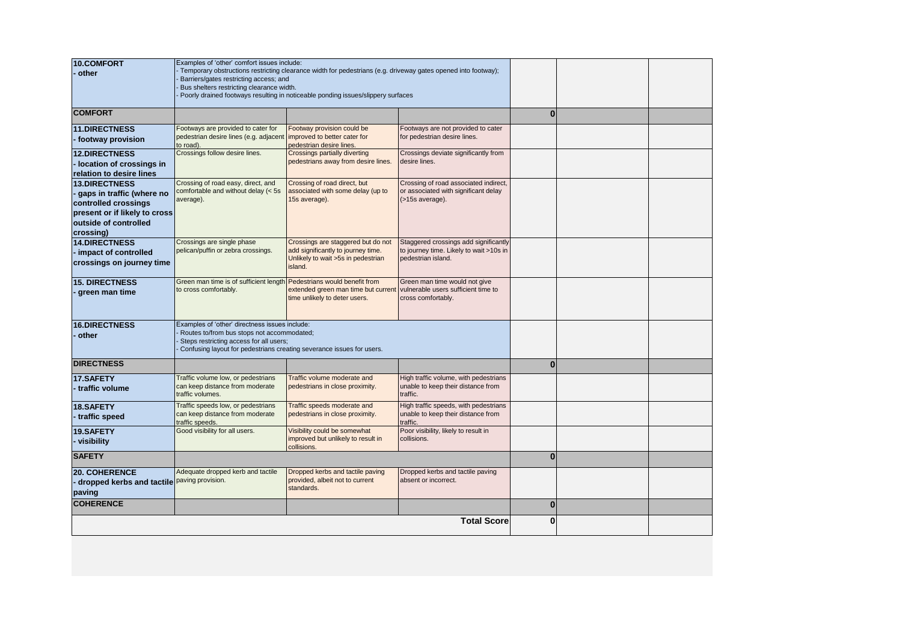| <b>10.COMFORT</b>             | Examples of 'other' comfort issues include:                                                                      |                                                                                  |                                                                                  |          |  |  |
|-------------------------------|------------------------------------------------------------------------------------------------------------------|----------------------------------------------------------------------------------|----------------------------------------------------------------------------------|----------|--|--|
| other                         | Temporary obstructions restricting clearance width for pedestrians (e.g. driveway gates opened into footway);    |                                                                                  |                                                                                  |          |  |  |
|                               | Barriers/gates restricting access; and                                                                           |                                                                                  |                                                                                  |          |  |  |
|                               | Bus shelters restricting clearance width.                                                                        | Poorly drained footways resulting in noticeable ponding issues/slippery surfaces |                                                                                  |          |  |  |
|                               |                                                                                                                  |                                                                                  |                                                                                  |          |  |  |
| <b>COMFORT</b>                |                                                                                                                  |                                                                                  |                                                                                  | $\bf{0}$ |  |  |
| <b>11.DIRECTNESS</b>          | Footways are provided to cater for                                                                               | Footway provision could be                                                       | Footways are not provided to cater                                               |          |  |  |
| footway provision             | pedestrian desire lines (e.g. adjacent<br>to road).                                                              | improved to better cater for<br>pedestrian desire lines.                         | for pedestrian desire lines.                                                     |          |  |  |
| <b>12.DIRECTNESS</b>          | Crossings follow desire lines.                                                                                   | Crossings partially diverting                                                    | Crossings deviate significantly from                                             |          |  |  |
| Iocation of crossings in      |                                                                                                                  | pedestrians away from desire lines.                                              | desire lines.                                                                    |          |  |  |
| relation to desire lines      |                                                                                                                  |                                                                                  |                                                                                  |          |  |  |
| <b>13.DIRECTNESS</b>          | Crossing of road easy, direct, and                                                                               | Crossing of road direct, but                                                     | Crossing of road associated indirect,                                            |          |  |  |
| gaps in traffic (where no     | comfortable and without delay (< 5s<br>average).                                                                 | associated with some delay (up to<br>15s average).                               | or associated with significant delay<br>(>15s average).                          |          |  |  |
| controlled crossings          |                                                                                                                  |                                                                                  |                                                                                  |          |  |  |
| present or if likely to cross |                                                                                                                  |                                                                                  |                                                                                  |          |  |  |
| outside of controlled         |                                                                                                                  |                                                                                  |                                                                                  |          |  |  |
| crossing)                     |                                                                                                                  |                                                                                  |                                                                                  |          |  |  |
| <b>14.DIRECTNESS</b>          | Crossings are single phase<br>pelican/puffin or zebra crossings.                                                 | Crossings are staggered but do not<br>add significantly to journey time.         | Staggered crossings add significantly<br>to journey time. Likely to wait >10s in |          |  |  |
| impact of controlled          |                                                                                                                  | Unlikely to wait >5s in pedestrian                                               | pedestrian island.                                                               |          |  |  |
| crossings on journey time     |                                                                                                                  | island.                                                                          |                                                                                  |          |  |  |
| <b>15. DIRECTNESS</b>         | Green man time is of sufficient length Pedestrians would benefit from                                            |                                                                                  | Green man time would not give                                                    |          |  |  |
| green man time                | to cross comfortably.                                                                                            | extended green man time but current                                              | vulnerable users sufficient time to                                              |          |  |  |
|                               |                                                                                                                  | time unlikely to deter users.                                                    | cross comfortably.                                                               |          |  |  |
|                               |                                                                                                                  |                                                                                  |                                                                                  |          |  |  |
| <b>16.DIRECTNESS</b>          | Examples of 'other' directness issues include:                                                                   |                                                                                  |                                                                                  |          |  |  |
| other                         | Routes to/from bus stops not accommodated;                                                                       |                                                                                  |                                                                                  |          |  |  |
|                               | Steps restricting access for all users;<br>Confusing layout for pedestrians creating severance issues for users. |                                                                                  |                                                                                  |          |  |  |
|                               |                                                                                                                  |                                                                                  |                                                                                  |          |  |  |
| <b>DIRECTNESS</b>             |                                                                                                                  |                                                                                  |                                                                                  | $\bf{0}$ |  |  |
| 17.SAFETY                     | Traffic volume low, or pedestrians                                                                               | Traffic volume moderate and                                                      | High traffic volume, with pedestrians                                            |          |  |  |
| traffic volume                | can keep distance from moderate<br>traffic volumes.                                                              | pedestrians in close proximity.                                                  | unable to keep their distance from<br>traffic.                                   |          |  |  |
|                               | Traffic speeds low, or pedestrians                                                                               | Traffic speeds moderate and                                                      | High traffic speeds, with pedestrians                                            |          |  |  |
| <b>18.SAFETY</b>              | can keep distance from moderate                                                                                  | pedestrians in close proximity.                                                  | unable to keep their distance from                                               |          |  |  |
| traffic speed                 | traffic speeds.                                                                                                  |                                                                                  | traffic.                                                                         |          |  |  |
| 19.SAFETY                     | Good visibility for all users.                                                                                   | Visibility could be somewhat                                                     | Poor visibility, likely to result in                                             |          |  |  |
| visibility                    |                                                                                                                  | improved but unlikely to result in<br>collisions.                                | collisions.                                                                      |          |  |  |
| <b>SAFETY</b>                 |                                                                                                                  |                                                                                  |                                                                                  | $\bf{0}$ |  |  |
| <b>20. COHERENCE</b>          | Adequate dropped kerb and tactile                                                                                | Dropped kerbs and tactile paving                                                 | Dropped kerbs and tactile paving                                                 |          |  |  |
| dropped kerbs and tactile     | paving provision.                                                                                                | provided, albeit not to current                                                  | absent or incorrect.                                                             |          |  |  |
| paving                        |                                                                                                                  | standards.                                                                       |                                                                                  |          |  |  |
| <b>COHERENCE</b>              |                                                                                                                  |                                                                                  |                                                                                  | $\bf{0}$ |  |  |
|                               |                                                                                                                  |                                                                                  | <b>Total Score</b>                                                               | 0        |  |  |
|                               |                                                                                                                  |                                                                                  |                                                                                  |          |  |  |
|                               |                                                                                                                  |                                                                                  |                                                                                  |          |  |  |